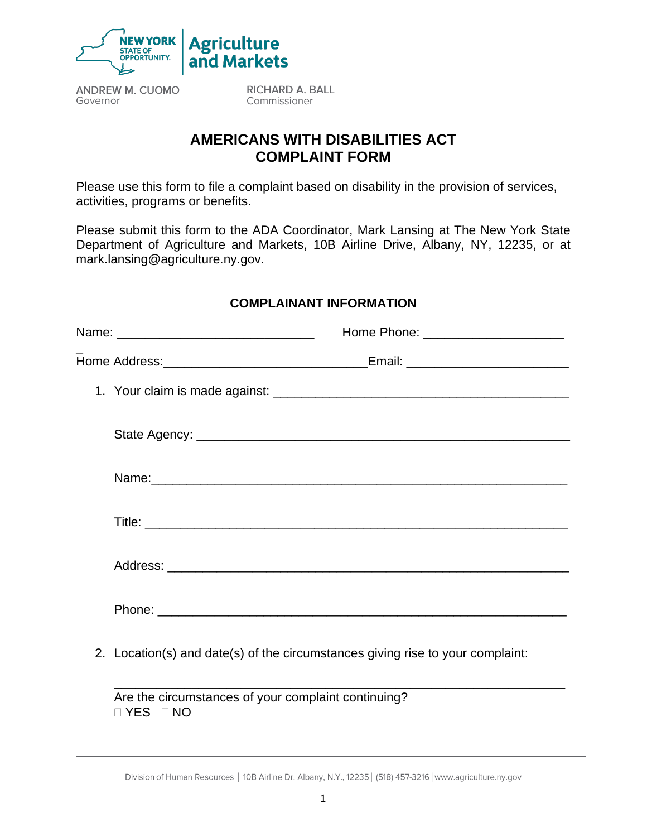

**ANDREW M. CUOMO** Governor

**RICHARD A. BALL** Commissioner

## **AMERICANS WITH DISABILITIES ACT COMPLAINT FORM**

Please use this form to file a complaint based on disability in the provision of services, activities, programs or benefits.

Please submit this form to the ADA Coordinator, Mark Lansing at The New York State Department of Agriculture and Markets, 10B Airline Drive, Albany, NY, 12235, or at mark.lansing@agriculture.ny.gov.

## **COMPLAINANT INFORMATION**

| _Email: _________________________________ |  |
|-------------------------------------------|--|
|                                           |  |
|                                           |  |
|                                           |  |
|                                           |  |
|                                           |  |
|                                           |  |
|                                           |  |

2. Location(s) and date(s) of the circumstances giving rise to your complaint:

\_\_\_\_\_\_\_\_\_\_\_\_\_\_\_\_\_\_\_\_\_\_\_\_\_\_\_\_\_\_\_\_\_\_\_\_\_\_\_\_\_\_\_\_\_\_\_\_\_\_\_\_\_\_\_\_\_\_\_\_\_\_\_\_

Are the circumstances of your complaint continuing? YES NO